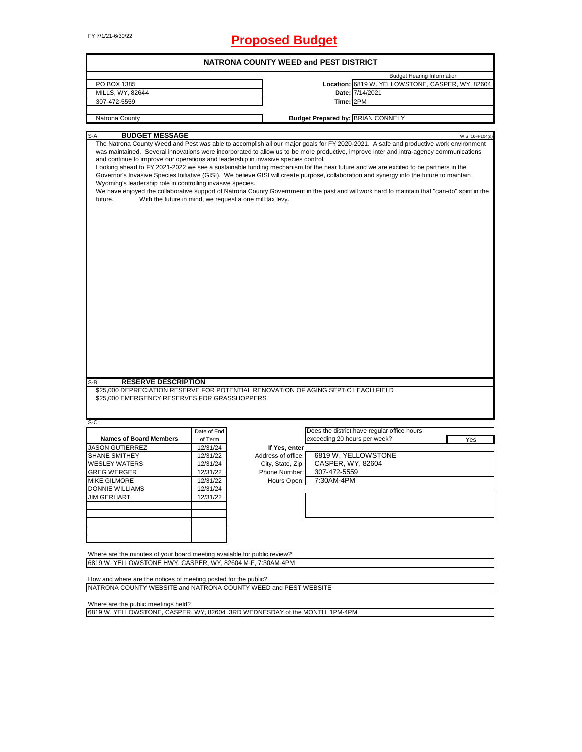# FY 7/1/21-6/30/22 **Proposed Budget**

| <b>NATRONA COUNTY WEED and PEST DISTRICT</b>                                                                                                                |                                                          |                                     |                              |                                                                                                                                                                                                                                                                                                                                                                                                                                                                                                                                                                                                                                                                                                                   |  |  |  |
|-------------------------------------------------------------------------------------------------------------------------------------------------------------|----------------------------------------------------------|-------------------------------------|------------------------------|-------------------------------------------------------------------------------------------------------------------------------------------------------------------------------------------------------------------------------------------------------------------------------------------------------------------------------------------------------------------------------------------------------------------------------------------------------------------------------------------------------------------------------------------------------------------------------------------------------------------------------------------------------------------------------------------------------------------|--|--|--|
|                                                                                                                                                             |                                                          |                                     |                              | <b>Budget Hearing Information</b>                                                                                                                                                                                                                                                                                                                                                                                                                                                                                                                                                                                                                                                                                 |  |  |  |
| PO BOX 1385                                                                                                                                                 |                                                          |                                     |                              | Location: 6819 W. YELLOWSTONE, CASPER, WY. 82604                                                                                                                                                                                                                                                                                                                                                                                                                                                                                                                                                                                                                                                                  |  |  |  |
| MILLS, WY, 82644                                                                                                                                            |                                                          |                                     |                              | Date: 7/14/2021                                                                                                                                                                                                                                                                                                                                                                                                                                                                                                                                                                                                                                                                                                   |  |  |  |
| 307-472-5559                                                                                                                                                |                                                          |                                     | Time: 2PM                    |                                                                                                                                                                                                                                                                                                                                                                                                                                                                                                                                                                                                                                                                                                                   |  |  |  |
|                                                                                                                                                             |                                                          |                                     |                              |                                                                                                                                                                                                                                                                                                                                                                                                                                                                                                                                                                                                                                                                                                                   |  |  |  |
| Natrona County                                                                                                                                              |                                                          |                                     |                              | <b>Budget Prepared by: BRIAN CONNELY</b>                                                                                                                                                                                                                                                                                                                                                                                                                                                                                                                                                                                                                                                                          |  |  |  |
| <b>BUDGET MESSAGE</b><br>S-A                                                                                                                                |                                                          |                                     |                              | W.S. 16-4-104(d)                                                                                                                                                                                                                                                                                                                                                                                                                                                                                                                                                                                                                                                                                                  |  |  |  |
| and continue to improve our operations and leadership in invasive species control.<br>Wyoming's leadership role in controlling invasive species.<br>future. | With the future in mind, we request a one mill tax levy. |                                     |                              | The Natrona County Weed and Pest was able to accomplish all our major goals for FY 2020-2021. A safe and productive work environment<br>was maintained. Several innovations were incorporated to allow us to be more productive, improve inter and intra-agency communications<br>Looking ahead to FY 2021-2022 we see a sustainable funding mechanism for the near future and we are excited to be partners in the<br>Governor's Invasive Species Initiative (GISI). We believe GISI will create purpose, collaboration and synergy into the future to maintain<br>We have enjoyed the collaborative support of Natrona County Government in the past and will work hard to maintain that "can-do" spirit in the |  |  |  |
|                                                                                                                                                             |                                                          |                                     |                              |                                                                                                                                                                                                                                                                                                                                                                                                                                                                                                                                                                                                                                                                                                                   |  |  |  |
| <b>RESERVE DESCRIPTION</b><br>S-B                                                                                                                           |                                                          |                                     |                              |                                                                                                                                                                                                                                                                                                                                                                                                                                                                                                                                                                                                                                                                                                                   |  |  |  |
| \$25,000 DEPRECIATION RESERVE FOR POTENTIAL RENOVATION OF AGING SEPTIC LEACH FIELD<br>\$25,000 EMERGENCY RESERVES FOR GRASSHOPPERS                          |                                                          |                                     |                              |                                                                                                                                                                                                                                                                                                                                                                                                                                                                                                                                                                                                                                                                                                                   |  |  |  |
| S-C                                                                                                                                                         |                                                          |                                     |                              |                                                                                                                                                                                                                                                                                                                                                                                                                                                                                                                                                                                                                                                                                                                   |  |  |  |
|                                                                                                                                                             | Date of End                                              |                                     |                              | Does the district have regular office hours                                                                                                                                                                                                                                                                                                                                                                                                                                                                                                                                                                                                                                                                       |  |  |  |
| <b>Names of Board Members</b>                                                                                                                               | of Term                                                  |                                     | exceeding 20 hours per week? | Yes                                                                                                                                                                                                                                                                                                                                                                                                                                                                                                                                                                                                                                                                                                               |  |  |  |
| <b>JASON GUTIERREZ</b><br>SHANE SMITHEY                                                                                                                     | 12/31/24<br>12/31/22                                     | If Yes, enter<br>Address of office: |                              | 6819 W. YELLOWSTONE                                                                                                                                                                                                                                                                                                                                                                                                                                                                                                                                                                                                                                                                                               |  |  |  |
| <b>WESLEY WATERS</b>                                                                                                                                        | 12/31/24                                                 | City, State, Zip:                   | CASPER, WY, 82604            |                                                                                                                                                                                                                                                                                                                                                                                                                                                                                                                                                                                                                                                                                                                   |  |  |  |
| <b>GREG WERGER</b>                                                                                                                                          | 12/31/22                                                 | Phone Number:                       | 307-472-5559                 |                                                                                                                                                                                                                                                                                                                                                                                                                                                                                                                                                                                                                                                                                                                   |  |  |  |
|                                                                                                                                                             |                                                          |                                     |                              |                                                                                                                                                                                                                                                                                                                                                                                                                                                                                                                                                                                                                                                                                                                   |  |  |  |
| <b>MIKE GILMORE</b><br><b>DONNIE WILLIAMS</b>                                                                                                               | 12/31/22<br>12/31/24                                     | Hours Open:                         | 7:30AM-4PM                   |                                                                                                                                                                                                                                                                                                                                                                                                                                                                                                                                                                                                                                                                                                                   |  |  |  |
| <b>JIM GERHART</b>                                                                                                                                          | 12/31/22                                                 |                                     |                              |                                                                                                                                                                                                                                                                                                                                                                                                                                                                                                                                                                                                                                                                                                                   |  |  |  |
|                                                                                                                                                             |                                                          |                                     |                              |                                                                                                                                                                                                                                                                                                                                                                                                                                                                                                                                                                                                                                                                                                                   |  |  |  |
|                                                                                                                                                             |                                                          |                                     |                              |                                                                                                                                                                                                                                                                                                                                                                                                                                                                                                                                                                                                                                                                                                                   |  |  |  |
|                                                                                                                                                             |                                                          |                                     |                              |                                                                                                                                                                                                                                                                                                                                                                                                                                                                                                                                                                                                                                                                                                                   |  |  |  |
|                                                                                                                                                             |                                                          |                                     |                              |                                                                                                                                                                                                                                                                                                                                                                                                                                                                                                                                                                                                                                                                                                                   |  |  |  |
|                                                                                                                                                             |                                                          |                                     |                              |                                                                                                                                                                                                                                                                                                                                                                                                                                                                                                                                                                                                                                                                                                                   |  |  |  |
|                                                                                                                                                             |                                                          |                                     |                              |                                                                                                                                                                                                                                                                                                                                                                                                                                                                                                                                                                                                                                                                                                                   |  |  |  |
| Where are the minutes of your board meeting available for public review?                                                                                    |                                                          |                                     |                              |                                                                                                                                                                                                                                                                                                                                                                                                                                                                                                                                                                                                                                                                                                                   |  |  |  |
| 6819 W. YELLOWSTONE HWY, CASPER, WY, 82604 M-F, 7:30AM-4PM                                                                                                  |                                                          |                                     |                              |                                                                                                                                                                                                                                                                                                                                                                                                                                                                                                                                                                                                                                                                                                                   |  |  |  |
|                                                                                                                                                             |                                                          |                                     |                              |                                                                                                                                                                                                                                                                                                                                                                                                                                                                                                                                                                                                                                                                                                                   |  |  |  |
| How and where are the notices of meeting posted for the public?                                                                                             |                                                          |                                     |                              |                                                                                                                                                                                                                                                                                                                                                                                                                                                                                                                                                                                                                                                                                                                   |  |  |  |
| NATRONA COUNTY WEBSITE and NATRONA COUNTY WEED and PEST WEBSITE                                                                                             |                                                          |                                     |                              |                                                                                                                                                                                                                                                                                                                                                                                                                                                                                                                                                                                                                                                                                                                   |  |  |  |
|                                                                                                                                                             |                                                          |                                     |                              |                                                                                                                                                                                                                                                                                                                                                                                                                                                                                                                                                                                                                                                                                                                   |  |  |  |

Where are the public meetings held?

6819 W. YELLOWSTONE, CASPER, WY, 82604 3RD WEDNESDAY of the MONTH, 1PM-4PM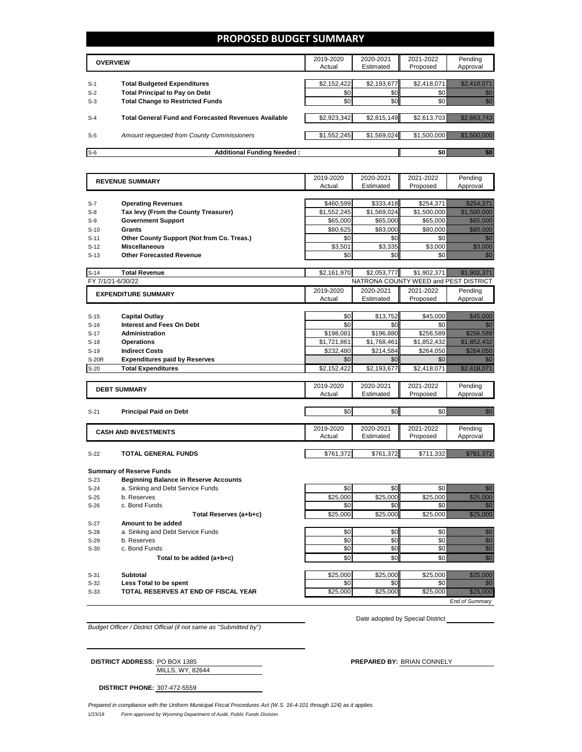## **PROPOSED BUDGET SUMMARY**

|       | <b>OVERVIEW</b>                                             | 2019-2020<br>Actual | 2020-2021<br>Estimated | 2021-2022<br>Proposed | Pending<br>Approval |
|-------|-------------------------------------------------------------|---------------------|------------------------|-----------------------|---------------------|
|       |                                                             |                     |                        |                       |                     |
| $S-1$ | <b>Total Budgeted Expenditures</b>                          | \$2,152,422         | \$2,193,677            | \$2,418,071           |                     |
| $S-2$ | <b>Total Principal to Pay on Debt</b>                       | \$0                 | \$0                    |                       |                     |
| $S-3$ | <b>Total Change to Restricted Funds</b>                     | \$0                 | \$0                    |                       |                     |
|       |                                                             |                     |                        |                       |                     |
| $S-4$ | <b>Total General Fund and Forecasted Revenues Available</b> | \$2,923,342         | \$2,815,149            | \$2,613,703           |                     |
|       |                                                             |                     |                        |                       |                     |
| $S-5$ | Amount requested from County Commissioners                  | \$1,552,245         | \$1,569,024            |                       |                     |
|       |                                                             |                     |                        |                       |                     |
| $S-6$ | <b>Additional Funding Needed:</b>                           |                     |                        |                       |                     |

|              | <b>REVENUE SUMMARY</b>                       | 2019-2020   | 2020-2021              | 2021-2022                             | Pending                                                                                                                                                                                                                          |
|--------------|----------------------------------------------|-------------|------------------------|---------------------------------------|----------------------------------------------------------------------------------------------------------------------------------------------------------------------------------------------------------------------------------|
|              |                                              | Actual      | Estimated              | Proposed                              | Approval                                                                                                                                                                                                                         |
|              |                                              |             |                        |                                       |                                                                                                                                                                                                                                  |
| $S-7$        | <b>Operating Revenues</b>                    | \$460,599   | \$333,418              | \$254,371                             | <u>Marajed</u>                                                                                                                                                                                                                   |
| $S-8$        | Tax levy (From the County Treasurer)         | \$1,552,245 | \$1,569,024            | \$1,500,000                           |                                                                                                                                                                                                                                  |
| $S-9$        | <b>Government Support</b>                    | \$65,000    | \$65,000               | \$65,000                              | <u> Hillian Sa</u>                                                                                                                                                                                                               |
| $S-10$       | Grants                                       | \$80.625    | \$83.000               | \$80,000                              | <u> Kalendaria (</u>                                                                                                                                                                                                             |
| $S-11$       | Other County Support (Not from Co. Treas.)   | \$0         | \$0                    | \$0                                   | en de la familie de la familie de la familie de la familie de la familie de la familie de la familie de la fam<br>De la familie de la familie de la familie de la familie de la familie de la familie de la familie de la famili |
| $S-12$       | <b>Miscellaneous</b>                         | \$3,501     | \$3,335                | \$3,000                               | <u>mana</u>                                                                                                                                                                                                                      |
| $S-13$       | <b>Other Forecasted Revenue</b>              | \$0         | \$0                    | \$0                                   | en de la forma de la forma de la forma de la forma de la forma de la forma de la forma de la forma de la forma<br>Del de la forma de la forma de la forma de la forma de la forma de la forma de la forma de la forma de la form |
|              |                                              |             |                        |                                       |                                                                                                                                                                                                                                  |
| $S-14$       | <b>Total Revenue</b>                         | \$2,161,970 | \$2,053,777            | \$1,902,371                           |                                                                                                                                                                                                                                  |
|              | FY 7/1/21-6/30/22                            |             |                        | NATRONA COUNTY WEED and PEST DISTRICT |                                                                                                                                                                                                                                  |
|              | <b>EXPENDITURE SUMMARY</b>                   | 2019-2020   | 2020-2021              | 2021-2022                             | Pending                                                                                                                                                                                                                          |
|              |                                              | Actual      | Estimated              | Proposed                              | Approval                                                                                                                                                                                                                         |
|              |                                              |             |                        |                                       |                                                                                                                                                                                                                                  |
| $S-15$       | <b>Capital Outlay</b>                        | \$0         | \$13,752               | \$45,000                              | <u>tik kontrollerin k</u>                                                                                                                                                                                                        |
| $S-16$       | <b>Interest and Fees On Debt</b>             | \$0         | \$0                    | \$0                                   | e di T                                                                                                                                                                                                                           |
| $S-17$       | <b>Administration</b>                        | \$198,081   | \$196.880              | \$256,589                             | <u>Markovinski k</u>                                                                                                                                                                                                             |
| $S-18$       | <b>Operations</b>                            | \$1.721.861 | \$1.768.461            | \$1.852.432                           |                                                                                                                                                                                                                                  |
| $S-19$       | <b>Indirect Costs</b>                        | \$232.480   | \$214,584              | \$264.050                             | <u>Maria Mari</u>                                                                                                                                                                                                                |
| <b>S-20R</b> | <b>Expenditures paid by Reserves</b>         | \$0         | \$0                    | \$0                                   | e di T                                                                                                                                                                                                                           |
| $S-20$       | <b>Total Expenditures</b>                    | \$2,152,422 | \$2,193,677            | \$2,418,071                           | <u> Martin Martin II</u>                                                                                                                                                                                                         |
|              |                                              |             |                        |                                       |                                                                                                                                                                                                                                  |
|              | <b>DEBT SUMMARY</b>                          | 2019-2020   | 2020-2021<br>Estimated | 2021-2022                             | Pending                                                                                                                                                                                                                          |
|              |                                              | Actual      |                        | Proposed                              | Approval                                                                                                                                                                                                                         |
| $S-21$       | <b>Principal Paid on Debt</b>                | \$0         | \$0                    | \$0                                   | ni dhe                                                                                                                                                                                                                           |
|              |                                              |             |                        |                                       |                                                                                                                                                                                                                                  |
|              |                                              | 2019-2020   | 2020-2021              | 2021-2022                             | Pending                                                                                                                                                                                                                          |
|              | <b>CASH AND INVESTMENTS</b>                  | Actual      | Estimated              | Proposed                              | Approval                                                                                                                                                                                                                         |
|              |                                              |             |                        |                                       |                                                                                                                                                                                                                                  |
| $S-22$       | <b>TOTAL GENERAL FUNDS</b>                   | \$761,372   | \$761,372              | \$711,332                             | <u> Martin Martin II</u>                                                                                                                                                                                                         |
|              |                                              |             |                        |                                       |                                                                                                                                                                                                                                  |
|              | <b>Summary of Reserve Funds</b>              |             |                        |                                       |                                                                                                                                                                                                                                  |
| $S-23$       | <b>Beginning Balance in Reserve Accounts</b> |             |                        |                                       |                                                                                                                                                                                                                                  |
| $S-24$       | a. Sinking and Debt Service Funds            | \$0         | \$0                    | \$0                                   | elli ku                                                                                                                                                                                                                          |
| $S-25$       | b. Reserves                                  | \$25,000    | \$25,000               | \$25,000                              | a katalunggal katalunggal katalunggal katalunggal katalunggal katalunggal katalunggal katalunggal katalunggal<br>Katalunggal katalunggal katalunggal katalunggal katalunggal katalunggal katalunggal katalunggal katalunggal ka  |
| $S-26$       | c. Bond Funds                                | \$0         | \$0                    | \$0                                   | 1999                                                                                                                                                                                                                             |
|              | Total Reserves (a+b+c)                       | \$25,000    | \$25,000               | \$25,000                              | <u>i dhe që përfshën për përfshën për përfshën për përfshën për përfshën për përfshën për përfshën për përfshën</u>                                                                                                              |
| $S-27$       | Amount to be added                           |             |                        |                                       |                                                                                                                                                                                                                                  |
| $S-28$       | a. Sinking and Debt Service Funds            | \$0         | \$0                    | \$0                                   | en de la familie de la familie de la familie de la familie de la familie de la familie de la familie de la fa<br>Concelho de la familie de la familie de la familie de la familie de la familie de la familie de la familie de   |
| $S-29$       | b. Reserves                                  | \$0         | \$0                    | \$0                                   | en de film<br>Altres de film                                                                                                                                                                                                     |
| $S-30$       | c. Bond Funds                                | \$0         | \$0                    | \$0                                   | ana<br>Mari                                                                                                                                                                                                                      |
|              | Total to be added (a+b+c)                    | \$0         | \$0                    | \$0                                   | en de la familie de la familie de la familie de la familie de la familie de la familie de la familie de la fa<br>Concello de la familie de la familie de la familie de la familie de la familie de la familie de la familie de   |
|              |                                              |             |                        |                                       |                                                                                                                                                                                                                                  |
|              |                                              |             |                        |                                       |                                                                                                                                                                                                                                  |
| $S-31$       | Subtotal                                     | \$25.000    | \$25.000               | \$25,000                              | <u>Tillitiikki k</u>                                                                                                                                                                                                             |

**S-33 TOTAL RESERVES AT END OF FISCAL YEAR THE SECTION SECTION S25,000** \$25,000 \$25,000 \$25,000 \$25,000 \$25,000 \$25,000 \$25,000 \$25,000 \$25,000 \$25,000 \$25,000 \$25,000 \$25,000 \$25,000 \$25,000 \$25,000 \$25,000 \$25,000 \$2

*Budget Officer / District Official (if not same as "Submitted by")*

Date adopted by Special District

*End of Summary*

| <b>DISTRICT ADDRESS: PO BOX 1385</b> |                  | <b>PREPARED BY: BRIAN CONNELY</b> |
|--------------------------------------|------------------|-----------------------------------|
|                                      | MILLS, WY, 82644 |                                   |

**DISTRICT PHONE:** 307-472-5559

1/23/19 *Form approved by Wyoming Department of Audit, Public Funds Division Prepared in compliance with the Uniform Municipal Fiscal Procedures Act (W.S. 16-4-101 through 124) as it applies.*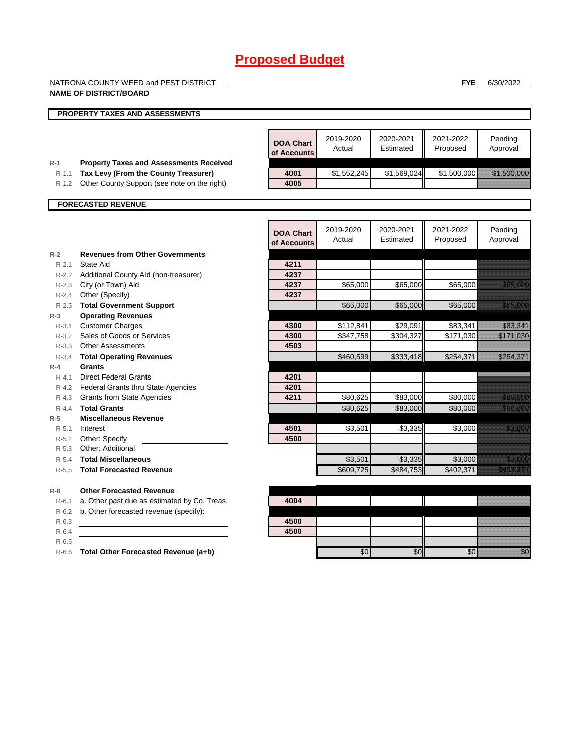NATRONA COUNTY WEED and PEST DISTRICT

### **NAME OF DISTRICT/BOARD**

**FYE** 6/30/2022

|                    | <b>NAME OF DISTRICT/BOARD</b>                        |                                 |                     |                        |                       |                             |
|--------------------|------------------------------------------------------|---------------------------------|---------------------|------------------------|-----------------------|-----------------------------|
|                    | PROPERTY TAXES AND ASSESSMENTS                       |                                 |                     |                        |                       |                             |
|                    |                                                      | <b>DOA Chart</b><br>of Accounts | 2019-2020<br>Actual | 2020-2021<br>Estimated | 2021-2022<br>Proposed | Pending<br>Approval         |
| $R-1$              | <b>Property Taxes and Assessments Received</b>       |                                 |                     |                        |                       |                             |
| $R-1.1$            | Tax Levy (From the County Treasurer)                 | 4001<br>4005                    | \$1,552,245         | \$1,569,024            | \$1,500,000           | <u> Elizabeth Carl</u>      |
| $R-1.2$            | Other County Support (see note on the right)         |                                 |                     |                        |                       |                             |
|                    | <b>FORECASTED REVENUE</b>                            |                                 |                     |                        |                       |                             |
|                    |                                                      |                                 |                     |                        |                       |                             |
|                    |                                                      | <b>DOA Chart</b><br>of Accounts | 2019-2020<br>Actual | 2020-2021<br>Estimated | 2021-2022<br>Proposed | Pending<br>Approval         |
| $R-2$              | <b>Revenues from Other Governments</b>               |                                 |                     |                        |                       |                             |
| $R - 2.1$          | State Aid                                            | 4211                            |                     |                        |                       |                             |
|                    | R-2.2 Additional County Aid (non-treasurer)          | 4237                            |                     |                        |                       |                             |
|                    | R-2.3 City (or Town) Aid                             | 4237                            | \$65,000            | \$65,000               | \$65,000              | <b>SERIES</b>               |
|                    | R-2.4 Other (Specify)                                | 4237                            |                     |                        |                       |                             |
| $R - 2.5$          | <b>Total Government Support</b>                      |                                 | \$65,000            | \$65,000               | \$65,000              | <u> Karl Maria I</u>        |
| $R-3$<br>$R - 3.1$ | <b>Operating Revenues</b><br><b>Customer Charges</b> | 4300                            | \$112,841           | \$29,091               | \$83,341              | <u> Kabupatèn Indonesia</u> |
| $R - 3.2$          | Sales of Goods or Services                           | 4300                            | \$347,758           | \$304,327              | \$171,030             | <u> Marije (</u>            |
| R-3.3              | <b>Other Assessments</b>                             | 4503                            |                     |                        |                       |                             |
| $R - 3.4$          | <b>Total Operating Revenues</b>                      |                                 | \$460,599           | \$333,418              | \$254,371             | <u>ellisoonilisti k</u>     |
| $R-4$              | Grants                                               |                                 |                     |                        |                       |                             |
| $R - 4.1$          | <b>Direct Federal Grants</b>                         | 4201                            |                     |                        |                       |                             |
|                    | R-4.2 Federal Grants thru State Agencies             | 4201                            |                     |                        |                       |                             |
| R-4.3              | <b>Grants from State Agencies</b>                    | 4211                            | \$80,625            | \$83,000               | \$80,000              | <u> Kabupatèn Indonesia</u> |
| $R - 4.4$          | <b>Total Grants</b>                                  |                                 | \$80,625            | \$83,000               | \$80,000              | <b>Randel School</b>        |
| $R-5$              | <b>Miscellaneous Revenue</b>                         |                                 |                     |                        |                       |                             |
| $R - 5.1$          | Interest                                             | 4501                            | \$3,501             | \$3,335                | \$3,000               | <u> Mariji Sarajev</u>      |
| R-5.2              | Other: Specify                                       | 4500                            |                     |                        |                       |                             |
| $R-5.3$            | Other: Additional                                    |                                 |                     |                        |                       |                             |
| $R - 5.4$          | <b>Total Miscellaneous</b>                           |                                 | \$3,501             | \$3,335                | \$3,000               | <u>till framförfa</u>       |
| $R - 5.5$          | <b>Total Forecasted Revenue</b>                      |                                 | \$609,725           | $\overline{$484,753}$  | \$402.371             | <u>Till fra Heim</u>        |
| $R-6$              | <b>Other Forecasted Revenue</b>                      |                                 |                     |                        |                       |                             |
| $R-6.1$            | a. Other past due as estimated by Co. Treas.         | 4004                            |                     |                        |                       |                             |
| $R-6.2$            | b. Other forecasted revenue (specify):               |                                 |                     |                        |                       |                             |
| $R-6.3$            |                                                      | 4500                            |                     |                        |                       |                             |
| $R - 6.4$          |                                                      | 4500                            |                     |                        |                       |                             |
| $R-6.5$            |                                                      |                                 |                     |                        |                       |                             |
| $R-6.6$            | Total Other Forecasted Revenue (a+b)                 |                                 | \$0                 | \$0                    | \$0                   | <u>tik k</u>                |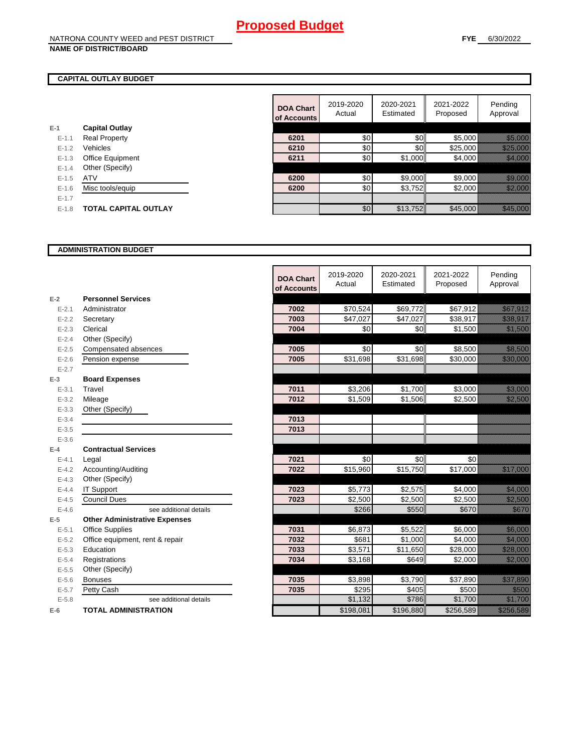## **CAPITAL OUTLAY BUDGET**

| F-1     | <b>Capital Outlay</b>   |
|---------|-------------------------|
| $F-11$  | <b>Real Property</b>    |
| $F-12$  | Vehicles                |
| $F-1.3$ | <b>Office Equipment</b> |
| $F-14$  | Other (Specify)         |
| $F-1.5$ | <b>ATV</b>              |
| $F-16$  | Misc tools/equip        |
| $F-17$  |                         |
| $F-1.8$ | TOTAL CAPITAL OUTLAY    |
|         |                         |

| Pending<br>2019-2020<br>2020-2021<br>2021-2022<br><b>DOA Chart</b><br>Estimated<br>Approval<br>Actual<br>Proposed<br>of Accounts<br><b>Capital Outlay</b><br>\$0<br>\$0<br>\$5,000<br>6201<br><b>Real Property</b><br>$E - 1.1$<br>\$0<br>\$0<br>Vehicles<br>\$25,000<br>6210<br>$E - 1.2$<br>\$0<br>\$1,000<br>Office Equipment<br>6211<br>\$4,000<br>$E-1.3$<br>Other (Specify)<br>$E - 1.4$<br>\$9,000<br>\$9,000<br>\$0<br><b>ATV</b><br>6200<br>$E-1.5$<br>\$0<br>\$3,752<br>\$2,000<br>6200<br>$E - 1.6$<br>Misc tools/equip<br>$E - 1.7$ |  |  |  |                                                                                                                                                                                                                                 |
|-------------------------------------------------------------------------------------------------------------------------------------------------------------------------------------------------------------------------------------------------------------------------------------------------------------------------------------------------------------------------------------------------------------------------------------------------------------------------------------------------------------------------------------------------|--|--|--|---------------------------------------------------------------------------------------------------------------------------------------------------------------------------------------------------------------------------------|
|                                                                                                                                                                                                                                                                                                                                                                                                                                                                                                                                                 |  |  |  |                                                                                                                                                                                                                                 |
|                                                                                                                                                                                                                                                                                                                                                                                                                                                                                                                                                 |  |  |  |                                                                                                                                                                                                                                 |
|                                                                                                                                                                                                                                                                                                                                                                                                                                                                                                                                                 |  |  |  | <u> Karl Sara</u>                                                                                                                                                                                                               |
|                                                                                                                                                                                                                                                                                                                                                                                                                                                                                                                                                 |  |  |  | <u> Karl Sara</u>                                                                                                                                                                                                               |
|                                                                                                                                                                                                                                                                                                                                                                                                                                                                                                                                                 |  |  |  | <u> Herman Sta</u>                                                                                                                                                                                                              |
|                                                                                                                                                                                                                                                                                                                                                                                                                                                                                                                                                 |  |  |  |                                                                                                                                                                                                                                 |
|                                                                                                                                                                                                                                                                                                                                                                                                                                                                                                                                                 |  |  |  | a katalunggal katalunggal katalunggal katalunggal katalunggal katalunggal katalunggal katalunggal katalunggal<br>Katalunggal katalunggal katalunggal katalunggal katalunggal katalunggal katalunggal katalunggal katalunggal ka |
|                                                                                                                                                                                                                                                                                                                                                                                                                                                                                                                                                 |  |  |  | <u> Karlingan Sa</u>                                                                                                                                                                                                            |
|                                                                                                                                                                                                                                                                                                                                                                                                                                                                                                                                                 |  |  |  |                                                                                                                                                                                                                                 |
| \$0<br>\$13,752<br>\$45,000<br><b>TOTAL CAPITAL OUTLAY</b><br>$E-1.8$                                                                                                                                                                                                                                                                                                                                                                                                                                                                           |  |  |  |                                                                                                                                                                                                                                 |

## **ADMINISTRATION BUDGET**

|           |                                      | <b>DOA Chart</b><br>of Accounts | 2019-2020<br>Actual | 2020-2021<br>Estimated | 2021-2022<br>Proposed | Pending<br>Approval                                                                                                      |
|-----------|--------------------------------------|---------------------------------|---------------------|------------------------|-----------------------|--------------------------------------------------------------------------------------------------------------------------|
| $E-2$     | <b>Personnel Services</b>            |                                 |                     |                        |                       |                                                                                                                          |
| $E - 2.1$ | Administrator                        | 7002                            | \$70,524            | \$69,772               | \$67,912              | <u>esti ministro</u>                                                                                                     |
| $E - 2.2$ | Secretary                            | 7003                            | \$47,027            | \$47,027               | \$38,917              | <u> Mariji (</u>                                                                                                         |
| $E - 2.3$ | Clerical                             | 7004                            | \$0                 | \$0                    | \$1,500               | <u> Karlin Sara</u>                                                                                                      |
| $E - 2.4$ | Other (Specify)                      |                                 |                     |                        |                       |                                                                                                                          |
| $E-2.5$   | Compensated absences                 | 7005                            | \$0                 | \$0                    | \$8,500               | <u>tionalisti</u>                                                                                                        |
| $E - 2.6$ | Pension expense                      | 7005                            | \$31,698            | \$31,698               | \$30,000              | a katika katika katika katika ali                                                                                        |
| $E - 2.7$ |                                      |                                 |                     |                        |                       |                                                                                                                          |
| $E-3$     | <b>Board Expenses</b>                |                                 |                     |                        |                       |                                                                                                                          |
| $E - 3.1$ | Travel                               | 7011                            | \$3,206             | \$1,700                | \$3,000               | <u>ti ka ma</u>                                                                                                          |
| $E - 3.2$ | Mileage                              | 7012                            | \$1,509             | \$1,506                | \$2,500               | <u>till i Sa</u>                                                                                                         |
| $E - 3.3$ | Other (Specify)                      |                                 |                     |                        |                       |                                                                                                                          |
| $E - 3.4$ |                                      | 7013                            |                     |                        |                       |                                                                                                                          |
| $E - 3.5$ |                                      | 7013                            |                     |                        |                       |                                                                                                                          |
| $E - 3.6$ |                                      |                                 |                     |                        |                       |                                                                                                                          |
| $E-4$     | <b>Contractual Services</b>          |                                 |                     |                        |                       |                                                                                                                          |
| $E - 4.1$ | Legal                                | 7021                            | \$0                 | \$0                    | \$0                   |                                                                                                                          |
| $E - 4.2$ | Accounting/Auditing                  | 7022                            | \$15,960            | \$15,750               | \$17,000              | <u> Harristo Sta</u>                                                                                                     |
| $E - 4.3$ | Other (Specify)                      |                                 |                     |                        |                       |                                                                                                                          |
| $E - 4.4$ | <b>IT Support</b>                    | 7023                            | \$5,773             | \$2,575                | \$4,000               | <u> Karlingan Sa</u>                                                                                                     |
| $E - 4.5$ | <b>Council Dues</b>                  | 7023                            | \$2,500             | \$2,500                | \$2,500               | <u>i karatika kuning karatika kuning karatika kuning karatika kuning karatika kuning karatika kuning karatika k</u>      |
| $E-4.6$   | see additional details               |                                 | \$266               | \$550                  | \$670                 | <u>tik alama</u>                                                                                                         |
| $E-5$     | <b>Other Administrative Expenses</b> |                                 |                     |                        |                       |                                                                                                                          |
| $E - 5.1$ | <b>Office Supplies</b>               | 7031                            | \$6,873             | \$5,522                | $\overline{$6,000}$   | a katika katika katika katika alikuwa na katika alikuwa na katika alikuwa na katika alikuwa na katika alikuwa<br>Marejeo |
| $E - 5.2$ | Office equipment, rent & repair      | 7032                            | \$681               | \$1,000                | \$4,000               | <u> Kalendari Septembang Kabupatèn Bandhir</u>                                                                           |
| $E - 5.3$ | Education                            | 7033                            | \$3,571             | \$11,650               | \$28,000              | <u>Till Hans Sta</u>                                                                                                     |
| $E - 5.4$ | Registrations                        | 7034                            | \$3,168             | \$649                  | \$2,000               | <u> Karlingan Sa</u>                                                                                                     |
| $E - 5.5$ | Other (Specify)                      |                                 |                     |                        |                       |                                                                                                                          |
| $E-5.6$   | <b>Bonuses</b>                       | 7035                            | \$3.898             | \$3.790                | \$37.890              | <u>eliminación </u>                                                                                                      |
| $E - 5.7$ | Petty Cash                           | 7035                            | \$295               | \$405                  | \$500                 | <u>ti ka</u>                                                                                                             |
| $E - 5.8$ | see additional details               |                                 | $\overline{$1,132}$ | \$786                  | \$1,700               | <u>tik alaman da</u>                                                                                                     |
| $E-6$     | <b>TOTAL ADMINISTRATION</b>          |                                 | \$198.081           | \$196,880              | \$256.589             | <u>Tillistoria (</u>                                                                                                     |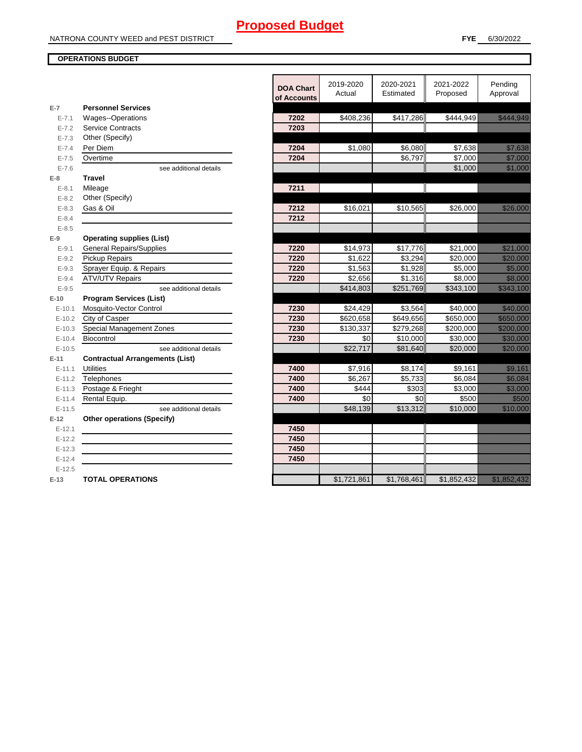## **OPERATIONS BUDGET**

|            |                                                   | <b>DOA Chart</b><br>of Accounts | 2019-2020<br>Actual | 2020-2021<br>Estimated | 2021-2022<br>Proposed | Pending<br>Approval                                                                                                   |
|------------|---------------------------------------------------|---------------------------------|---------------------|------------------------|-----------------------|-----------------------------------------------------------------------------------------------------------------------|
| $E-7$      | <b>Personnel Services</b>                         |                                 |                     |                        |                       |                                                                                                                       |
| $E - 7.1$  | <b>Wages--Operations</b>                          | 7202                            | \$408,236           | \$417,286              | \$444,949             | <u>era altara da serialdaren baina da era</u>                                                                         |
| $E - 7.2$  | <b>Service Contracts</b>                          | 7203                            |                     |                        |                       |                                                                                                                       |
| $E - 7.3$  | Other (Specify)                                   |                                 |                     |                        |                       |                                                                                                                       |
| $E - 7.4$  | Per Diem                                          | 7204                            | \$1,080             | \$6,080                | \$7,638               | <u>tionalistici provincialistici provincialistici provincialistici provincialistici provincialistici provincialis</u> |
| $E - 7.5$  | Overtime                                          | 7204                            |                     | \$6,797                | \$7,000               | <u>tik komunistist om de s</u>                                                                                        |
| $E - 7.6$  | see additional details                            |                                 |                     |                        | \$1,000               | <u> Hilliann ann an 197</u>                                                                                           |
| $E-8$      | <b>Travel</b>                                     |                                 |                     |                        |                       |                                                                                                                       |
| $E - 8.1$  | Mileage                                           | 7211                            |                     |                        |                       |                                                                                                                       |
| $E - 8.2$  | Other (Specify)                                   |                                 |                     |                        |                       |                                                                                                                       |
| $E - 8.3$  | Gas & Oil                                         | 7212                            | \$16,021            | \$10,565               | \$26,000              | <u> Hillian Sa</u>                                                                                                    |
| $E - 8.4$  |                                                   | 7212                            |                     |                        |                       |                                                                                                                       |
| $E - 8.5$  |                                                   |                                 |                     |                        |                       |                                                                                                                       |
| $E-9$      | <b>Operating supplies (List)</b>                  |                                 |                     |                        |                       |                                                                                                                       |
| $E - 9.1$  | <b>General Repairs/Supplies</b>                   | 7220                            | \$14,973            | \$17,776               | \$21,000              |                                                                                                                       |
| $E - 9.2$  | Pickup Repairs                                    | 7220                            | \$1,622             | \$3,294                | \$20,000              | <u> Hillingson</u>                                                                                                    |
| $E - 9.3$  | Sprayer Equip. & Repairs                          | 7220                            | \$1,563             | \$1,928                | \$5,000               | <u>tin alaman sa</u>                                                                                                  |
| $E - 9.4$  | <b>ATV/UTV Repairs</b>                            | 7220                            | \$2,656             | \$1,316                | \$8,000               | <u>ting and</u>                                                                                                       |
| $E - 9.5$  | see additional details                            |                                 | \$414,803           | \$251,769              | \$343,100             | <u>tik alaman da</u>                                                                                                  |
| $E-10$     | <b>Program Services (List)</b>                    |                                 |                     |                        |                       |                                                                                                                       |
| $E - 10.1$ | Mosquito-Vector Control                           | 7230                            | \$24,429            | \$3,564                | \$40,000              | <u> Historia (</u>                                                                                                    |
| $E-10.2$   | City of Casper                                    | 7230                            | \$620,658           | \$649,656              | \$650,000             | <u> Karl Maria I</u>                                                                                                  |
| $E-10.3$   | Special Management Zones                          | 7230                            | \$130,337           | \$279,268              | \$200,000             | <u> Martin Siri</u>                                                                                                   |
| $E - 10.4$ | Biocontrol                                        | 7230                            | \$0                 | \$10,000               | \$30,000              | <u> Karl Sara</u>                                                                                                     |
| $E-10.5$   | see additional details                            |                                 | \$22,717            | \$81,640               | \$20,000              |                                                                                                                       |
| E-11       | <b>Contractual Arrangements (List)</b>            |                                 |                     |                        |                       |                                                                                                                       |
| $E - 11.1$ | <b>Utilities</b>                                  | 7400                            | \$7,916             | \$8,174                | \$9,161               | <u>tik ku</u>                                                                                                         |
| $E - 11.2$ | Telephones                                        | 7400                            | \$6,267             | \$5,733                | \$6,084               | <u>tik k</u>                                                                                                          |
| $E - 11.3$ | Postage & Frieght                                 | 7400                            | \$444               | \$303                  | \$3,000               | <u> Hillian Sa</u>                                                                                                    |
| $E - 11.4$ | Rental Equip.                                     | 7400                            | \$0                 | \$0                    | \$500                 | <u>ti ka</u>                                                                                                          |
| $E-11.5$   | see additional details                            |                                 | \$48,139            | \$13,312               | \$10,000              | <u>e de la componenta</u>                                                                                             |
| $E-12$     | <b>Other operations (Specify)</b>                 |                                 |                     |                        |                       |                                                                                                                       |
| $E - 12.1$ |                                                   | 7450                            |                     |                        |                       |                                                                                                                       |
| $E-12.2$   | <u> 1980 - Johann Barbara, martxa alemaniar a</u> | 7450                            |                     |                        |                       |                                                                                                                       |
| $E-12.3$   |                                                   | 7450                            |                     |                        |                       |                                                                                                                       |
| $E-12.4$   |                                                   | 7450                            |                     |                        |                       |                                                                                                                       |
| $E-12.5$   |                                                   |                                 |                     |                        |                       |                                                                                                                       |
| $E-13$     | <b>TOTAL OPERATIONS</b>                           |                                 | \$1,721,861         | \$1,768,461            | \$1,852,432           |                                                                                                                       |
|            |                                                   |                                 |                     |                        |                       |                                                                                                                       |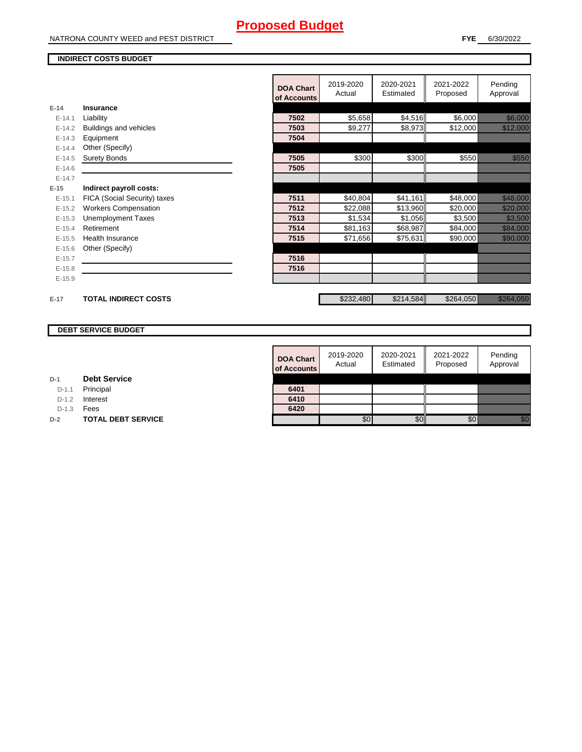NATRONA COUNTY WEED and PEST DISTRICT

## **INDIRECT COSTS BUDGET**

|            |                              | <b>DOA Chart</b><br>of Accounts | 2019-2020<br>Actual | 2020-2021<br>Estimated | 2021-2022<br>Proposed | Pending<br>Approval                            |
|------------|------------------------------|---------------------------------|---------------------|------------------------|-----------------------|------------------------------------------------|
| $E-14$     | <b>Insurance</b>             |                                 |                     |                        |                       |                                                |
| $E-14.1$   | Liability                    | 7502                            | \$5,658             | \$4,516                | \$6,000               | <u> Karlingan Sa</u>                           |
| $E-14.2$   | Buildings and vehicles       | 7503                            | \$9,277             | \$8,973                | \$12,000              | <u> Kalendari Serikat Serikat dan pa</u>       |
| $E-14.3$   | Equipment                    | 7504                            |                     |                        |                       |                                                |
| $E - 14.4$ | Other (Specify)              |                                 |                     |                        |                       |                                                |
| $E-14.5$   | <b>Surety Bonds</b>          | 7505                            | \$300               | \$300                  | \$550                 | <u> Karatika</u>                               |
| $E-14.6$   |                              | 7505                            |                     |                        |                       |                                                |
| $E-14.7$   |                              |                                 |                     |                        |                       |                                                |
| $E-15$     | Indirect payroll costs:      |                                 |                     |                        |                       |                                                |
| $E-15.1$   | FICA (Social Security) taxes | 7511                            | \$40,804            | \$41,161               | \$48,000              | <u> Martin Sa</u>                              |
| $E-15.2$   | <b>Workers Compensation</b>  | 7512                            | \$22,088            | \$13,960               | \$20,000              | <u> Hillian San B</u>                          |
| $E-15.3$   | <b>Unemployment Taxes</b>    | 7513                            | \$1,534             | \$1,056                | \$3,500               | <u> Kalifornia (</u>                           |
| $E-15.4$   | Retirement                   | 7514                            | \$81,163            | \$68,987               | \$84,000              | <u> Karl Sara</u>                              |
| $E-15.5$   | Health Insurance             | 7515                            | \$71,656            | \$75,631               | \$90,000              | <b>1999 - 1999 - 1999 - 1999 - 1999 - 1999</b> |
| $E-15.6$   | Other (Specify)              |                                 |                     |                        |                       |                                                |
| $E-15.7$   |                              | 7516                            |                     |                        |                       |                                                |
| $E-15.8$   |                              | 7516                            |                     |                        |                       |                                                |
| $E-15.9$   |                              |                                 |                     |                        |                       |                                                |
|            |                              |                                 |                     |                        |                       |                                                |
| $E-17$     | <b>TOTAL INDIRECT COSTS</b>  |                                 | \$232,480           | \$214,584              | \$264,050             | <u> Karl Sara</u>                              |

## **DEBT SERVICE BUDGET**

| <b>DOA Chart</b><br>of Accounts | 2019-2020<br>Actual | 2020-2021<br>Estimated | 2021-2022<br>Proposed | Pending<br>Approval |
|---------------------------------|---------------------|------------------------|-----------------------|---------------------|
|                                 |                     |                        |                       |                     |
| 6401                            |                     |                        |                       |                     |
| 6410                            |                     |                        |                       |                     |
| 6420                            |                     |                        |                       |                     |
|                                 |                     |                        |                       |                     |

D-1.1 Principal

D-1.2 **Interest** 

D-1.3 **Fees** 

**D-2 TOTAL DEBT SERVICE**